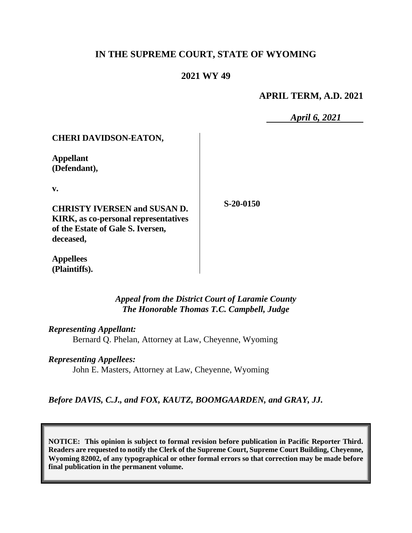# **IN THE SUPREME COURT, STATE OF WYOMING**

# **2021 WY 49**

#### **APRIL TERM, A.D. 2021**

*April 6, 2021*

| <b>CHERI DAVIDSON-EATON,</b>                |             |
|---------------------------------------------|-------------|
| <b>Appellant</b><br>(Defendant),            |             |
| v.                                          |             |
| <b>CHRISTY IVERSEN and SUSAN D.</b>         | $S-20-0150$ |
| <b>KIRK, as co-personal representatives</b> |             |
| of the Estate of Gale S. Iversen,           |             |
| deceased,                                   |             |
| <b>Appellees</b>                            |             |

*Appeal from the District Court of Laramie County The Honorable Thomas T.C. Campbell, Judge* 

*Representing Appellant:* Bernard Q. Phelan, Attorney at Law, Cheyenne, Wyoming

*Representing Appellees:*

**(Plaintiffs).**

John E. Masters, Attorney at Law, Cheyenne, Wyoming

*Before DAVIS, C.J., and FOX, KAUTZ, BOOMGAARDEN, and GRAY, JJ.*

**NOTICE: This opinion is subject to formal revision before publication in Pacific Reporter Third. Readers are requested to notify the Clerk of the Supreme Court, Supreme Court Building, Cheyenne, Wyoming 82002, of any typographical or other formal errors so that correction may be made before final publication in the permanent volume.**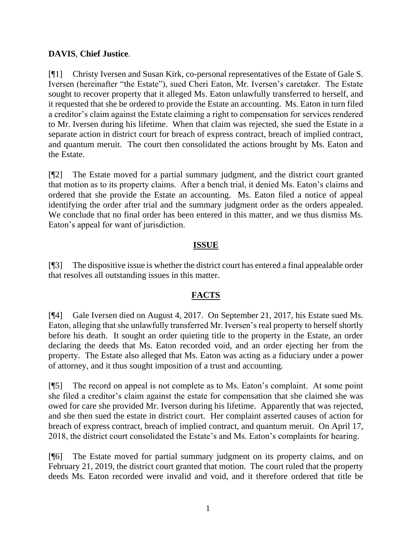# **DAVIS**, **Chief Justice**.

[¶1] Christy Iversen and Susan Kirk, co-personal representatives of the Estate of Gale S. Iversen (hereinafter "the Estate"), sued Cheri Eaton, Mr. Iversen's caretaker. The Estate sought to recover property that it alleged Ms. Eaton unlawfully transferred to herself, and it requested that she be ordered to provide the Estate an accounting. Ms. Eaton in turn filed a creditor's claim against the Estate claiming a right to compensation for services rendered to Mr. Iversen during his lifetime. When that claim was rejected, she sued the Estate in a separate action in district court for breach of express contract, breach of implied contract, and quantum meruit. The court then consolidated the actions brought by Ms. Eaton and the Estate.

[¶2] The Estate moved for a partial summary judgment, and the district court granted that motion as to its property claims. After a bench trial, it denied Ms. Eaton's claims and ordered that she provide the Estate an accounting. Ms. Eaton filed a notice of appeal identifying the order after trial and the summary judgment order as the orders appealed. We conclude that no final order has been entered in this matter, and we thus dismiss Ms. Eaton's appeal for want of jurisdiction.

# **ISSUE**

[¶3] The dispositive issue is whether the district court has entered a final appealable order that resolves all outstanding issues in this matter.

# **FACTS**

[¶4] Gale Iversen died on August 4, 2017. On September 21, 2017, his Estate sued Ms. Eaton, alleging that she unlawfully transferred Mr. Iversen's real property to herself shortly before his death. It sought an order quieting title to the property in the Estate, an order declaring the deeds that Ms. Eaton recorded void, and an order ejecting her from the property. The Estate also alleged that Ms. Eaton was acting as a fiduciary under a power of attorney, and it thus sought imposition of a trust and accounting.

[¶5] The record on appeal is not complete as to Ms. Eaton's complaint. At some point she filed a creditor's claim against the estate for compensation that she claimed she was owed for care she provided Mr. Iverson during his lifetime. Apparently that was rejected, and she then sued the estate in district court. Her complaint asserted causes of action for breach of express contract, breach of implied contract, and quantum meruit. On April 17, 2018, the district court consolidated the Estate's and Ms. Eaton's complaints for hearing.

[¶6] The Estate moved for partial summary judgment on its property claims, and on February 21, 2019, the district court granted that motion. The court ruled that the property deeds Ms. Eaton recorded were invalid and void, and it therefore ordered that title be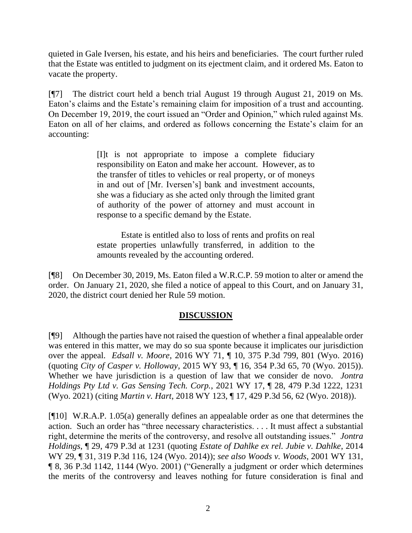quieted in Gale Iversen, his estate, and his heirs and beneficiaries. The court further ruled that the Estate was entitled to judgment on its ejectment claim, and it ordered Ms. Eaton to vacate the property.

[¶7] The district court held a bench trial August 19 through August 21, 2019 on Ms. Eaton's claims and the Estate's remaining claim for imposition of a trust and accounting. On December 19, 2019, the court issued an "Order and Opinion," which ruled against Ms. Eaton on all of her claims, and ordered as follows concerning the Estate's claim for an accounting:

> [I]t is not appropriate to impose a complete fiduciary responsibility on Eaton and make her account. However, as to the transfer of titles to vehicles or real property, or of moneys in and out of [Mr. Iversen's] bank and investment accounts, she was a fiduciary as she acted only through the limited grant of authority of the power of attorney and must account in response to a specific demand by the Estate.

> Estate is entitled also to loss of rents and profits on real estate properties unlawfully transferred, in addition to the amounts revealed by the accounting ordered.

[¶8] On December 30, 2019, Ms. Eaton filed a W.R.C.P. 59 motion to alter or amend the order. On January 21, 2020, she filed a notice of appeal to this Court, and on January 31, 2020, the district court denied her Rule 59 motion.

# **DISCUSSION**

[¶9] Although the parties have not raised the question of whether a final appealable order was entered in this matter, we may do so sua sponte because it implicates our jurisdiction over the appeal. *Edsall v. Moore*, 2016 WY 71, ¶ 10, 375 P.3d 799, 801 (Wyo. 2016) (quoting *City of Casper v. Holloway*[, 2015 WY 93, ¶ 16, 354 P.3d 65, 70 \(Wyo. 2015\)\)](http://www.westlaw.com/Link/Document/FullText?findType=Y&serNum=2036722531&pubNum=0004645&originatingDoc=Ia1beec304eb511e6a6699ce8baa114cf&refType=RP&fi=co_pp_sp_4645_70&originationContext=document&vr=3.0&rs=cblt1.0&transitionType=DocumentItem&contextData=(sc.Search)#co_pp_sp_4645_70). Whether we have jurisdiction is a question of law that we consider de novo. *Jontra Holdings Pty Ltd v. Gas Sensing Tech. Corp.*, 2021 WY 17, ¶ 28, 479 P.3d 1222, 1231 (Wyo. 2021) (citing *Martin v. Hart*[, 2018 WY 123, ¶ 17, 429 P.3d 56, 62 \(Wyo. 2018\)\)](http://www.westlaw.com/Link/Document/FullText?findType=Y&serNum=2045885997&pubNum=0004645&originatingDoc=Iaa2527b0628b11eb9dc5f224bba38290&refType=RP&fi=co_pp_sp_4645_62&originationContext=document&vr=3.0&rs=cblt1.0&transitionType=DocumentItem&contextData=(sc.Search)#co_pp_sp_4645_62).

[¶10] W.R.A.P. 1.05(a) generally defines an appealable order as one that determines the action. Such an order has "three necessary characteristics. . . . It must affect a substantial right, determine the merits of the controversy, and resolve all outstanding issues." *Jontra Holdings*, ¶ 29, 479 P.3d at 1231 (quoting *[Estate of Dahlke ex rel. Jubie v. Dahlke](http://www.westlaw.com/Link/Document/FullText?findType=Y&serNum=2032784720&pubNum=0004645&originatingDoc=Iaa2527b0628b11eb9dc5f224bba38290&refType=RP&fi=co_pp_sp_4645_124&originationContext=document&vr=3.0&rs=cblt1.0&transitionType=DocumentItem&contextData=(sc.Search)#co_pp_sp_4645_124)*, 2014 [WY 29, ¶ 31, 319 P.3d 116, 124 \(Wyo. 2014\)\)](http://www.westlaw.com/Link/Document/FullText?findType=Y&serNum=2032784720&pubNum=0004645&originatingDoc=Iaa2527b0628b11eb9dc5f224bba38290&refType=RP&fi=co_pp_sp_4645_124&originationContext=document&vr=3.0&rs=cblt1.0&transitionType=DocumentItem&contextData=(sc.Search)#co_pp_sp_4645_124); *see also Woods v. Woods*, 2001 WY 131, ¶ 8, 36 P.3d 1142, 1144 (Wyo. 2001) ("Generally a judgment or order which determines the merits of the controversy and leaves nothing for future consideration is final and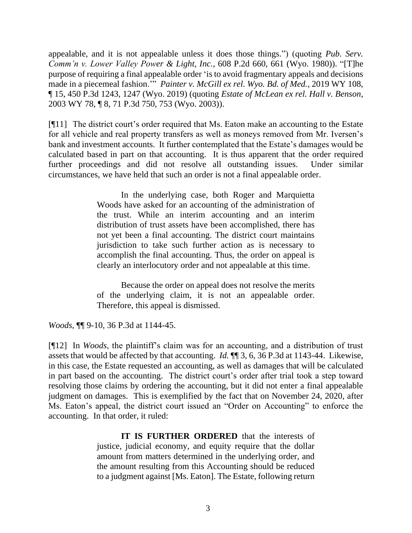appealable, and it is not appealable unless it does those things.") (quoting *[Pub. Serv.](http://www.westlaw.com/Link/Document/FullText?findType=Y&serNum=1980109034&pubNum=661&originatingDoc=Iba6c8315f55111d983e7e9deff98dc6f&refType=RP&fi=co_pp_sp_661_661&originationContext=document&vr=3.0&rs=cblt1.0&transitionType=DocumentItem&contextData=(sc.UserEnteredCitation)#co_pp_sp_661_661)  [Comm'n v. Lower Valley Power &](http://www.westlaw.com/Link/Document/FullText?findType=Y&serNum=1980109034&pubNum=661&originatingDoc=Iba6c8315f55111d983e7e9deff98dc6f&refType=RP&fi=co_pp_sp_661_661&originationContext=document&vr=3.0&rs=cblt1.0&transitionType=DocumentItem&contextData=(sc.UserEnteredCitation)#co_pp_sp_661_661) Light, Inc.*, 608 P.2d 660, 661 (Wyo. 1980)). "[T]he purpose of requiring a final appealable order 'is to avoid fragmentary appeals and decisions made in a piecemeal fashion.'" *Painter v. McGill ex rel. Wyo. Bd. of Med.*, 2019 WY 108, ¶ 15, 450 P.3d 1243, 1247 (Wyo. 2019) (quoting *[Estate of McLean ex rel. Hall v. Benson](http://www.westlaw.com/Link/Document/FullText?findType=Y&serNum=2003452550&pubNum=0004645&originatingDoc=Ie3fa4ab0f6b711e9ad6fd2296b11a061&refType=RP&fi=co_pp_sp_4645_753&originationContext=document&vr=3.0&rs=cblt1.0&transitionType=DocumentItem&contextData=(sc.Search)#co_pp_sp_4645_753)*, [2003 WY 78, ¶ 8, 71 P.3d 750, 753 \(Wyo. 2003\)\)](http://www.westlaw.com/Link/Document/FullText?findType=Y&serNum=2003452550&pubNum=0004645&originatingDoc=Ie3fa4ab0f6b711e9ad6fd2296b11a061&refType=RP&fi=co_pp_sp_4645_753&originationContext=document&vr=3.0&rs=cblt1.0&transitionType=DocumentItem&contextData=(sc.Search)#co_pp_sp_4645_753).

[¶11] The district court's order required that Ms. Eaton make an accounting to the Estate for all vehicle and real property transfers as well as moneys removed from Mr. Iversen's bank and investment accounts. It further contemplated that the Estate's damages would be calculated based in part on that accounting. It is thus apparent that the order required further proceedings and did not resolve all outstanding issues. Under similar circumstances, we have held that such an order is not a final appealable order.

> In the underlying case, both Roger and Marquietta Woods have asked for an accounting of the administration of the trust. While an interim accounting and an interim distribution of trust assets have been accomplished, there has not yet been a final accounting. The district court maintains jurisdiction to take such further action as is necessary to accomplish the final accounting. Thus, the order on appeal is clearly an interlocutory order and not appealable at this time.

> Because the order on appeal does not resolve the merits of the underlying claim, it is not an appealable order. Therefore, this appeal is dismissed.

*Woods*, ¶¶ 9-10, 36 P.3d at 1144-45.

[¶12] In *Woods*, the plaintiff's claim was for an accounting, and a distribution of trust assets that would be affected by that accounting. *Id.* ¶¶ 3, 6, 36 P.3d at 1143-44. Likewise, in this case, the Estate requested an accounting, as well as damages that will be calculated in part based on the accounting. The district court's order after trial took a step toward resolving those claims by ordering the accounting, but it did not enter a final appealable judgment on damages. This is exemplified by the fact that on November 24, 2020, after Ms. Eaton's appeal, the district court issued an "Order on Accounting" to enforce the accounting. In that order, it ruled:

> **IT IS FURTHER ORDERED** that the interests of justice, judicial economy, and equity require that the dollar amount from matters determined in the underlying order, and the amount resulting from this Accounting should be reduced to a judgment against [Ms. Eaton]. The Estate, following return